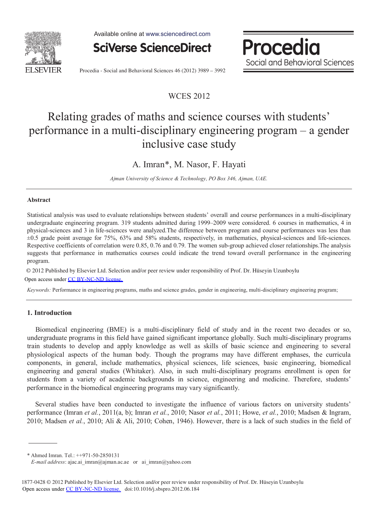

Available online at www.sciencedirect.com



Procedia Social and Behavioral Sciences

Procedia - Social and Behavioral Sciences 46 (2012) 3989 - 3992

# WCES 2012

# Relating grades of maths and science courses with students' performance in a multi-disciplinary engineering program – a gender inclusive case study

# A. Imran\*, M. Nasor, F. Hayati

*Ajman University of Science & Technology, PO Box 346, Ajman, UAE.* 

# **Abstract**

Statistical analysis was used to evaluate relationships between students' overall and course performances in a multi-disciplinary undergraduate engineering program. 319 students admitted during 1999–2009 were considered. 6 courses in mathematics, 4 in physical-sciences and 3 in life-sciences were analyzed.The difference between program and course performances was less than  $\pm 0.5$  grade point average for 75%, 63% and 58% students, respectively, in mathematics, physical-sciences and life-sciences. Respective coefficients of correlation were 0.85, 0.76 and 0.79. The women sub-group achieved closer relationships.The analysis suggests that performance in mathematics courses could indicate the trend toward overall performance in the engineering program.

© 2012 Published by Elsevier Ltd. © 2012 Published by Elsevier Ltd. Selection and/or peer review under responsibility of Prof. Dr. Hüseyin Uzunboylu

Open access under [CC BY-NC-ND license.](http://creativecommons.org/licenses/by-nc-nd/3.0/)

*Keywords:* Performance in engineering programs, maths and science grades, gender in engineering, multi-disciplinary engineering program;

# **1. Introduction**

Biomedical engineering (BME) is a multi-disciplinary field of study and in the recent two decades or so, undergraduate programs in this field have gained significant importance globally. Such multi-disciplinary programs train students to develop and apply knowledge as well as skills of basic science and engineering to several physiological aspects of the human body. Though the programs may have different emphases, the curricula components, in general, include mathematics, physical sciences, life sciences, basic engineering, biomedical engineering and general studies (Whitaker). Also, in such multi-disciplinary programs enrollment is open for students from a variety of academic backgrounds in science, engineering and medicine. Therefore, students' performance in the biomedical engineering programs may vary significantly.

Several studies have been conducted to investigate the influence of various factors on university students' performance (Imran *et al.*, 2011(a, b); Imran *et al.*, 2010; Nasor *et al.*, 2011; Howe, *et al.*, 2010; Madsen & Ingram, 2010; Madsen *et al.*, 2010; Ali & Ali, 2010; Cohen, 1946). However, there is a lack of such studies in the field of

\* Ahmed Imran. Tel.: ++971-50-2850131

*E-mail address*: ajac.ai\_imran@ajman.ac.ae or ai\_imran@yahoo.com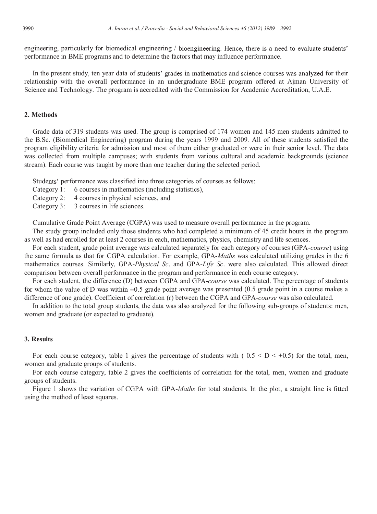engineering, particularly for biomedical engineering / bioengineering. Hence, there is a need to evaluate students' performance in BME programs and to determine the factors that may influence performance.

In the present study, ten year data of students' grades in mathematics and science courses was analyzed for their relationship with the overall performance in an undergraduate BME program offered at Ajman University of Science and Technology. The program is accredited with the Commission for Academic Accreditation, U.A.E.

## **2. Methods**

Grade data of 319 students was used. The group is comprised of 174 women and 145 men students admitted to the B.Sc. (Biomedical Engineering) program during the years 1999 and 2009. All of these students satisfied the program eligibility criteria for admission and most of them either graduated or were in their senior level. The data was collected from multiple campuses; with students from various cultural and academic backgrounds (science stream). Each course was taught by more than one teacher during the selected period.

Students' performance was classified into three categories of courses as follows:

- Category 1: 6 courses in mathematics (including statistics),
- Category 2: 4 courses in physical sciences, and
- Category 3: 3 courses in life sciences.

Cumulative Grade Point Average (CGPA) was used to measure overall performance in the program.

The study group included only those students who had completed a minimum of 45 credit hours in the program as well as had enrolled for at least 2 courses in each, mathematics, physics, chemistry and life sciences.

For each student, grade point average was calculated separately for each category of courses (GPA-*course*) using the same formula as that for CGPA calculation. For example, GPA-*Maths* was calculated utilizing grades in the 6 mathematics courses. Similarly, GPA-*Physical Sc*. and GPA-*Life Sc*. were also calculated. This allowed direct comparison between overall performance in the program and performance in each course category.

For each student, the difference (D) between CGPA and GPA-*course* was calculated. The percentage of students for whom the value of D was within  $\pm 0.5$  grade point average was presented (0.5 grade point in a course makes a difference of one grade). Coefficient of correlation (r) between the CGPA and GPA-*course* was also calculated.

In addition to the total group students, the data was also analyzed for the following sub-groups of students: men, women and graduate (or expected to graduate).

#### **3. Results**

For each course category, table 1 gives the percentage of students with  $(-0.5 \leq D \leq +0.5)$  for the total, men, women and graduate groups of students.

For each course category, table 2 gives the coefficients of correlation for the total, men, women and graduate groups of students.

Figure 1 shows the variation of CGPA with GPA-*Maths* for total students. In the plot, a straight line is fitted using the method of least squares.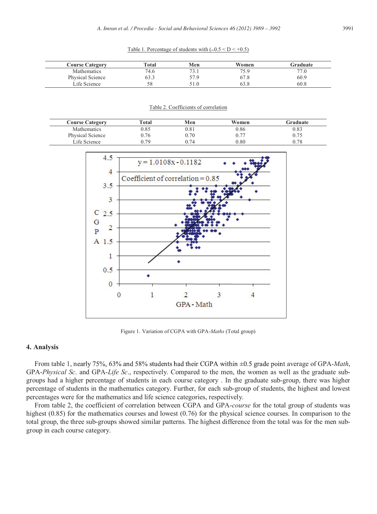| <b>Course Category</b> | Total | Men  | Women | Graduate |
|------------------------|-------|------|-------|----------|
| Mathematics            | 74.6  | 73   | 75.9  | 77       |
| Physical Science       | 53.3  | 57.9 | 67.8  | 60.9     |
| Life Science           |       |      |       | 60.8     |

#### Table 2. Coefficients of correlation

| <b>Course Category</b> | Total | Men  | Women     | Graduate |
|------------------------|-------|------|-----------|----------|
| <b>Mathematics</b>     | 0.85  | 0.81 | 0.86      | 0.83     |
| Physical Science       | 0.76  | 0.70 | ስ 77      | 0.75     |
| Life Science           | በ 79  | ) 74 | $_{0.80}$ | 0.78     |



Figure 1. Variation of CGPA with GPA-*Maths* (Total group)

### **4. Analysis**

From table 1, nearly 75%, 63% and 58% students had their CGPA within  $\pm$ 0.5 grade point average of GPA-*Math*, GPA-*Physical Sc*. and GPA-*Life Sc*., respectively. Compared to the men, the women as well as the graduate subgroups had a higher percentage of students in each course category . In the graduate sub-group, there was higher percentage of students in the mathematics category. Further, for each sub-group of students, the highest and lowest percentages were for the mathematics and life science categories, respectively.

From table 2, the coefficient of correlation between CGPA and GPA-*course* for the total group of students was highest (0.85) for the mathematics courses and lowest (0.76) for the physical science courses. In comparison to the total group, the three sub-groups showed similar patterns. The highest difference from the total was for the men subgroup in each course category.